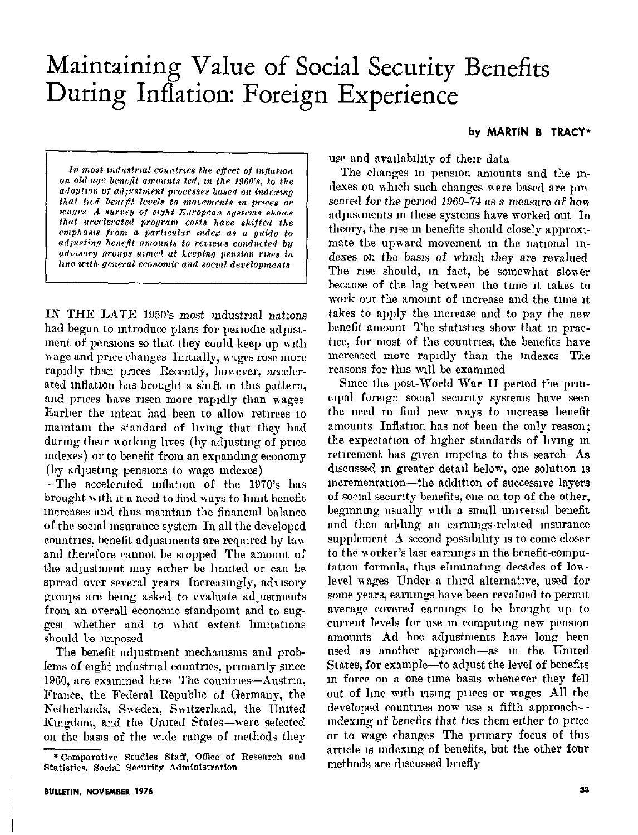# Maintaining Value of Social Security Benefits During Inflation: Foreign Experience

#### by MARTIN B TRACY\*

In most industrial countries the effect of inflation on old age benefit amounts led, in the 1960's, to the adoption of adjustment processes based on indexing that tied benefit levels to movements in prices or wages A survey of eight European systems shous that accelerated program costs have shifted the emphasis from a particular index as a guide to adjusting benefit amounts to reviews conducted by advisory groups aimed at keeping pension rises in line with general economic and social developments

IN THE LATE 1950's most industrial nations had begun to introduce plans for periodic adjustment of pensions so that they could keep up with wage and price changes Initially, wages rose more rapidly than prices Recently, however, accelerated inflation has brought a shift in this pattern, and prices have risen more rapidly than wages Earlier the intent had been to allow retirees to maintain the standard of living that they had during their working lives (by adjusting of price indexes) or to benefit from an expanding economy (by adjusting pensions to wage indexes)

- The accelerated inflation of the 1970's has brought with it a need to find ways to limit benefit increases and thus maintain the financial balance of the social insurance system In all the developed countries, benefit adjustments are required by law and therefore cannot be stopped. The amount of the adjustment may either be limited or can be spread over several years Increasingly, advisory groups are being asked to evaluate adjustments from an overall economic standpoint and to suggest whether and to what extent limitations should be imposed

The benefit adjustment mechanisms and problems of eight industrial countries, primarily since 1960, are examined here The countries—Austria, France, the Federal Republic of Germany, the Netherlands, Sweden, Switzerland, the United Kingdom, and the United States-were selected on the basis of the wide range of methods they use and availability of their data

The changes in pension amounts and the indexes on which such changes were based are presented for the period 1960–74 as a measure of how adjustments in these systems have worked out In theory, the rise in benefits should closely approximate the upward movement in the national indexes on the basis of which they are revalued The rise should, in fact, be somewhat slower because of the lag between the time it takes to work out the amount of increase and the time it takes to apply the increase and to pay the new benefit amount The statistics show that in practice, for most of the countries, the benefits have increased more rapidly than the indexes The reasons for this will be examined

Since the post-World War II period the prineipal foreign social security systems have seen the need to find new ways to increase benefit amounts Inflation has not been the only reason; the expectation of higher standards of living in retirement has given impetus to this search As discussed in greater detail below, one solution is incrementation—the addition of successive layers of social security benefits, one on top of the other, beginning usually with a small universal benefit and then adding an earnings-related insurance supplement A second possibility is to come closer to the worker's last earnings in the benefit-computation formula, thus eliminating decades of lowlevel wages Under a third alternative, used for some years, earnings have been revalued to permit average covered earnings to be brought up to current levels for use in computing new pension amounts Ad hoc adjustments have long been used as another approach—as in the United States, for example—to adjust the level of benefits in force on a one-time basis whenever they fell out of line with rising prices or wages All the developed countries now use a fifth approachindexing of benefits that ties them either to price or to wage changes The primary focus of this article is indexing of benefits, but the other four methods are discussed briefly

<sup>\*</sup>Comparative Studies Staff, Office of Research and Statistics, Social Security Administration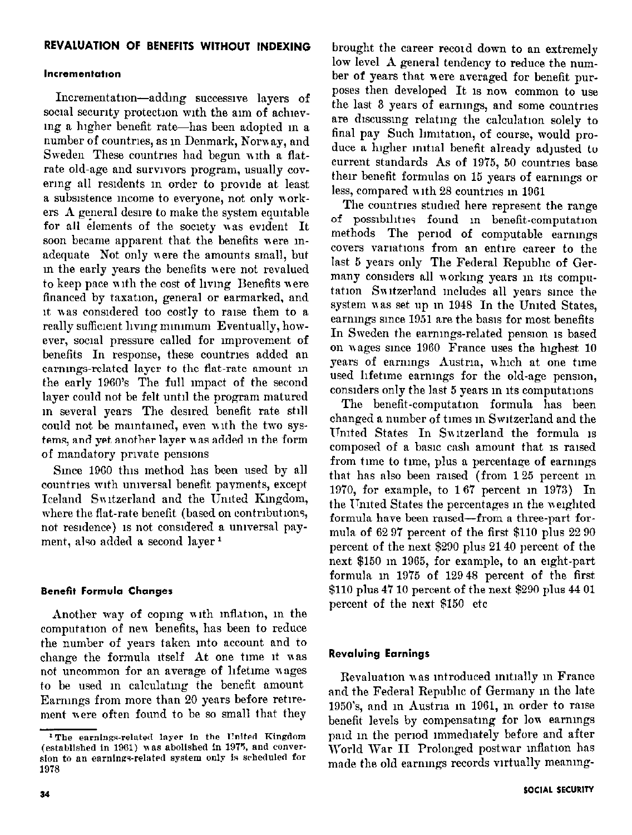#### Incrementation

Incrementation-adding successive layers of social security protection with the aim of achieving a higher benefit rate-has been adopted in a number of countries, as in Denmark, Norway, and Sweden These countries had begun with a flatrate old-age and survivors program, usually covering all residents in order to provide at least a subsistence income to everyone, not only workers A general desire to make the system equitable for all elements of the society was evident It soon became apparent that the benefits were inadequate Not only were the amounts small, but in the early years the benefits were not revalued to keep pace with the cost of living Benefits were financed by taxation, general or earmarked, and it was considered too costly to raise them to a really sufficient living minimum Eventually, however, social pressure called for improvement of benefits In response, these countries added an earnings-related layer to the flat-rate amount in the early 1960's The full impact of the second layer could not be felt until the program matured in several years The desired benefit rate still could not be maintained, even with the two systems, and yet another layer was added in the form of mandatory private pensions

Since 1960 this method has been used by all countries with universal benefit payments, except Iceland Switzerland and the United Kingdom, where the flat-rate benefit (based on contributions, not residence) is not considered a universal payment, also added a second layer<sup>1</sup>

#### **Benefit Formula Changes**

Another way of coping with inflation, in the computation of new benefits, has been to reduce the number of years taken into account and to change the formula itself At one time it was not uncommon for an average of lifetime wages to be used in calculating the benefit amount Earnings from more than 20 years before retirement were often found to be so small that they

brought the career record down to an extremely low level A general tendency to reduce the number of years that were averaged for benefit purposes then developed It is now common to use the last 3 years of earnings, and some countries are discussing relating the calculation solely to final pay Such limitation, of course, would produce a higher initial benefit already adjusted to current standards As of 1975, 50 countries base their benefit formulas on 15 years of earnings or less, compared with 28 countries in 1961

The countries studied here represent the range of possibilities found in benefit-computation methods The period of computable earnings covers variations from an entire career to the last 5 years only The Federal Republic of Germany considers all working years in its computation Switzerland includes all years since the system was set up in 1948 In the United States. earnings since 1951 are the basis for most benefits In Sweden the earnings-related pension is based on wages since 1960 France uses the highest 10 years of earnings Austria, which at one time used lifetime earnings for the old-age pension, considers only the last 5 years in its computations

The benefit-computation formula has been changed a number of times in Switzerland and the United States In Switzerland the formula is composed of a basic cash amount that is raised from time to time, plus a percentage of earnings that has also been raised (from 125 percent in 1970, for example, to 167 percent in 1973) In the United States the percentages in the weighted formula have been raised—from a three-part formula of 62 97 percent of the first \$110 plus 22 90 percent of the next \$290 plus 21 40 percent of the next \$150 in 1965, for example, to an eight-part formula in 1975 of 12948 percent of the first \$110 plus 47 10 percent of the next \$290 plus 44 01 percent of the next \$150 etc

# **Revaluing Earnings**

Revaluation was introduced initially in France and the Federal Republic of Germany in the late 1950's, and in Austria in 1961, in order to raise benefit levels by compensating for low earnings paid in the period immediately before and after World War II Prolonged postwar inflation has made the old earnings records virtually meaning-

<sup>&</sup>lt;sup>1</sup>The earnings-related layer in the United Kingdom (established in 1961) was abolished in 1975, and conversion to an earnings-related system only is scheduled for 1978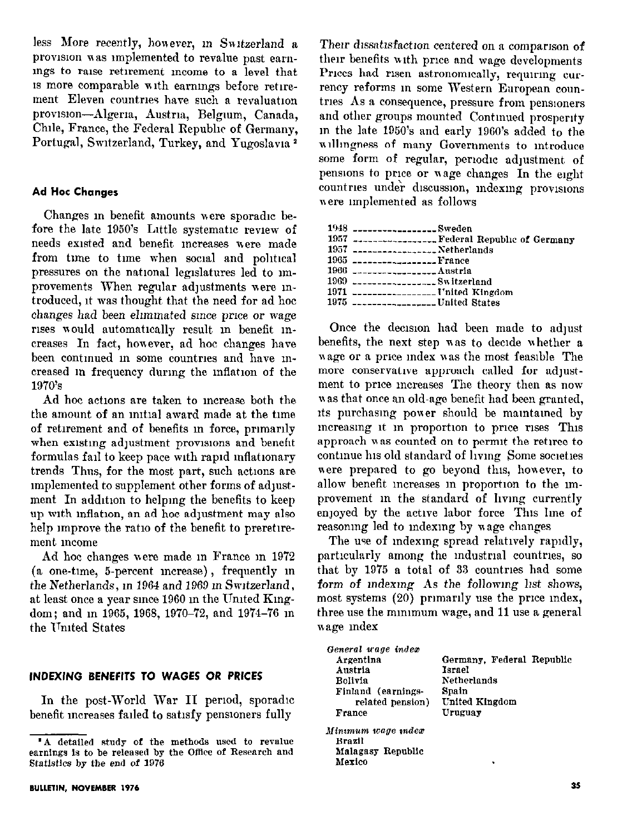less More recently, however, in Switzerland a provision was implemented to revalue past earnings to raise retirement income to a level that is more comparable with earnings before retirement Eleven countries have such a revaluation provision-Algeria, Austria, Belgium, Canada, Chile, France, the Federal Republic of Germany. Portugal, Switzerland, Turkey, and Yugoslavia<sup>2</sup>

#### **Ad Hoc Changes**

Changes in benefit amounts were sporadic before the late 1950's Little systematic review of needs existed and benefit increases were made from time to time when social and political pressures on the national legislatures led to improvements When regular adjustments were introduced, it was thought that the need for ad hoc changes had been eliminated since price or wage rises would automatically result in benefit increases In fact, however, ad hoc changes have been continued in some countries and have increased in frequency during the inflation of the 1970's

Ad hoc actions are taken to increase both the the amount of an initial award made at the time of retirement and of benefits in force, primarily when existing adjustment provisions and benefit formulas fail to keep pace with rapid inflationary trends Thus, for the most part, such actions are implemented to supplement other forms of adjustment In addition to helping the benefits to keep up with inflation, an ad hoc adjustment may also help improve the ratio of the benefit to preretirement income

Ad hoc changes were made in France in 1972 (a one-time, 5-percent increase), frequently in the Netherlands, in 1964 and 1969 in Switzerland, at least once a year since 1960 in the United Kingdom; and m 1965, 1968, 1970-72, and 1974-76 m the United States

#### INDEXING BENEFITS TO WAGES OR PRICES

In the post-World War II period, sporadic benefit increases failed to satisfy pensioners fully

Their dissatisfaction centered on a comparison of their benefits with price and wage developments Prices had risen astronomically, requiring currency reforms in some Western European countries As a consequence, pressure from pensioners and other groups mounted Continued prosperity in the late 1950's and early 1960's added to the willingness of many Governments to introduce some form of regular, periodic adjustment of pensions to price or wage changes In the eight countries under discussion, indexing provisions were implemented as follows

| 1948 _________________Sweden                         |
|------------------------------------------------------|
| 1957 ------------------- Federal Republic of Germany |
| 1957 ------------------ Netherlands                  |
| $1965$ $1965$                                        |
| $1966$ $---$                                         |
| $1969$ $--- $ Switzerland                            |
| 1971  United Kingdom                                 |
| $1975$ $-------------$ United States                 |
|                                                      |

Once the decision had been made to adjust benefits, the next step was to decide whether a wage or a price index was the most feasible The more conservative approach called for adjustment to price increases The theory then as now was that once an old-age benefit had been granted, its purchasing power should be maintained by increasing it in proportion to price rises This approach was counted on to permit the retiree to continue his old standard of living Some societies were prepared to go beyond this, however, to allow benefit increases in proportion to the improvement in the standard of living currently enjoyed by the active labor force This line of reasoning led to indexing by wage changes

The use of indexing spread relatively rapidly, particularly among the industrial countries, so that by 1975 a total of 33 countries had some form of indexing As the following list shows, most systems (20) primarily use the price index, three use the minimum wage, and 11 use a general wage index

| General wage index |                           |  |
|--------------------|---------------------------|--|
| Argentina          | Germany, Federal Republic |  |
| Austria            | Israel                    |  |
| Bolivia            | Netherlands               |  |
| Finland (earnings- | Spain                     |  |
| related pension)   | United Kingdom            |  |
| France             | Uruguay                   |  |
| Minımum wage ındex |                           |  |
| Brazil             |                           |  |
| Malagasy Republic  |                           |  |

Mexico

<sup>&</sup>quot;A detailed study of the methods used to revalue earnings is to be released by the Office of Research and Statistics by the end of 1976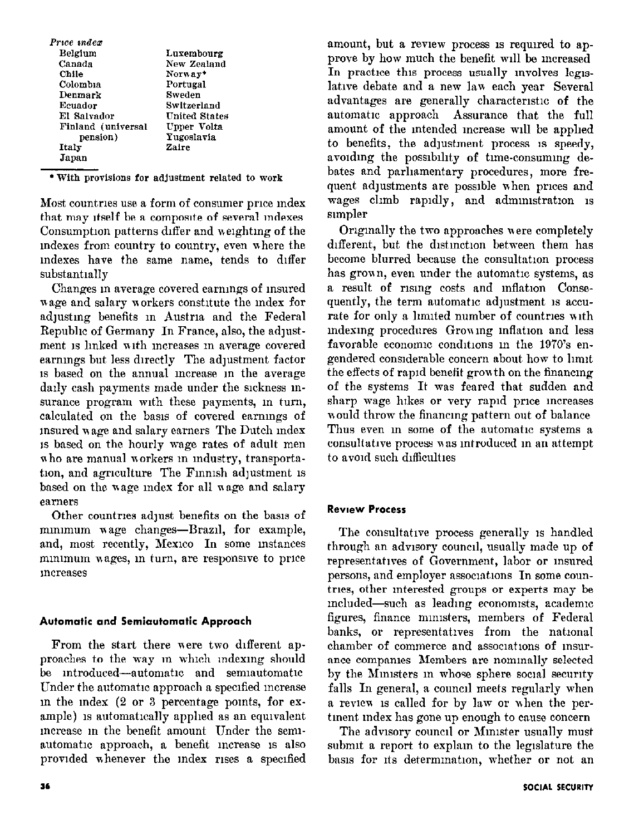| Price index        |               |
|--------------------|---------------|
| Belgium            | Luxembourg    |
| Canada             | New Zealand   |
| Chile              | Norway*       |
| Colombia           | Portugal      |
| Denmark            | Sweden        |
| Ecuador            | Switzerland   |
| El Salvador        | United States |
| Finland (universal | Upper Volta   |
| pension)           | Yugoslavia    |
| Italy              | Zaire         |
| Japan              |               |
|                    |               |

\* With provisions for adjustment related to work

Most countries use a form of consumer price index that may itself be a composite of several indexes Consumption patterns differ and weighting of the indexes from country to country, even where the indexes have the same name, tends to differ substantially

Changes in average covered earnings of insured wage and salary workers constitute the index for adjusting benefits in Austria and the Federal Republic of Germany In France, also, the adjustment is linked with increases in average covered earnings but less directly The adjustment factor is based on the annual increase in the average daily cash payments made under the sickness insurance program with these payments, in turn, calculated on the basis of covered earnings of insured wage and salary earners The Dutch index is based on the hourly wage rates of adult men who are manual workers in industry, transportation, and agriculture The Finnish adjustment is based on the wage index for all wage and salary earners

Other countries adjust benefits on the basis of minimum wage changes-Brazil, for example, and, most recently, Mexico In some instances minimum wages, in turn, are responsive to price increases

# Automatic and Semiautomatic Approach

From the start there were two different approaches to the way in which indexing should be introduced-automatic and semiautomatic Under the automatic approach a specified increase in the index (2 or 3 percentage points, for example) is automatically applied as an equivalent increase in the benefit amount Under the semiautomatic approach, a benefit increase is also provided whenever the index rises a specified

amount, but a review process is required to approve by how much the benefit will be increased In practice this process usually involves legislative debate and a new law each year Several advantages are generally characteristic of the automatic approach Assurance that the full amount of the intended increase will be applied to benefits, the adjustment process is speedy, avoiding the possibility of time-consuming debates and parliamentary procedures, more frequent adjustments are possible when prices and wages climb rapidly, and administration is simpler

Originally the two approaches were completely different, but the distinction between them has become blurred because the consultation process has grown, even under the automatic systems, as a result of rising costs and inflation Consequently, the term automatic adjustment is accurate for only a limited number of countries with indexing procedures Growing inflation and less favorable economic conditions in the 1970's engendered considerable concern about how to limit the effects of rapid benefit growth on the financing of the systems It was feared that sudden and sharp wage hikes or very rapid price increases would throw the financing pattern out of balance Thus even in some of the automatic systems a consultative process was introduced in an attempt to avoid such difficulties

# **Review Process**

The consultative process generally is handled through an advisory council, usually made up of representatives of Government, labor or insured persons, and employer associations In some countries, other interested groups or experts may be included-such as leading economists, academic figures, finance ministers, members of Federal banks, or representatives from the national chamber of commerce and associations of insurance companies Members are nominally selected by the Ministers in whose sphere social security falls In general, a council meets regularly when a review is called for by law or when the pertinent index has gone up enough to cause concern

The advisory council or Minister usually must submit a report to explain to the legislature the basis for its determination, whether or not an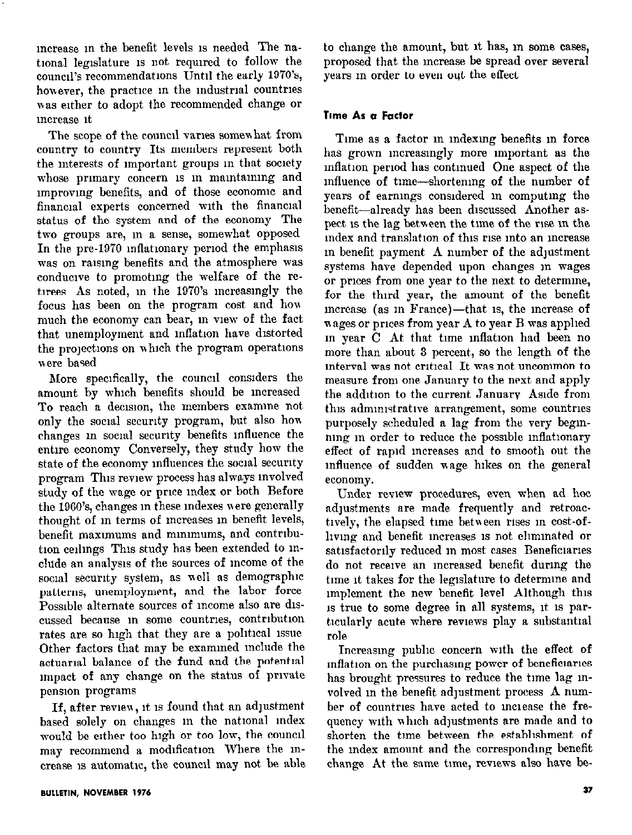increase in the benefit levels is needed The national legislature is not required to follow the council's recommendations Until the early 1970's, however, the practice in the industrial countries was either to adopt the recommended change or increase it

The scope of the council varies somewhat from country to country Its members represent both the interests of important groups in that society whose primary concern is in maintaining and improving benefits, and of those economic and financial experts concerned with the financial status of the system and of the economy The two groups are, in a sense, somewhat opposed In the pre-1970 inflationary period the emphasis was on raising benefits and the atmosphere was conducive to promoting the welfare of the retirees As noted, in the 1970's increasingly the focus has been on the program cost and how much the economy can bear, in view of the fact that unemployment and inflation have distorted the projections on which the program operations were based

More specifically, the council considers the amount by which benefits should be increased To reach a decision, the members examine not only the social security program, but also how changes in social security benefits influence the entire economy Conversely, they study how the state of the economy influences the social security program This review process has always involved study of the wage or price index or both Before the 1960's, changes in these indexes were generally thought of in terms of increases in benefit levels, benefit maximums and minimums, and contribution ceilings This study has been extended to include an analysis of the sources of income of the social security system, as well as demographic patterns, unemployment, and the labor force Possible alternate sources of income also are discussed because in some countries, contribution rates are so high that they are a political issue Other factors that may be examined include the actuarial balance of the fund and the potential impact of any change on the status of private pension programs

If, after review, it is found that an adjustment based solely on changes in the national index would be either too high or too low, the council may recommend a modification Where the increase is automatic, the council may not be able to change the amount, but it has, in some cases, proposed that the increase be spread over several years in order to even out the effect

#### Time As a Factor

Time as a factor in indexing benefits in force has grown increasingly more important as the inflation period has continued One aspect of the influence of time-shortening of the number of years of earnings considered in computing the benefit-already has been discussed Another aspect is the lag between the time of the rise in the index and translation of this rise into an increase in benefit payment A number of the adjustment systems have depended upon changes in wages or prices from one year to the next to determine, for the third year, the amount of the benefit increase (as in France)-that is, the increase of wages or prices from year A to year B was applied in year C At that time inflation had been no more than about 3 percent, so the length of the interval was not critical It was not uncommon to measure from one January to the next and apply the addition to the current January Aside from this administrative arrangement, some countries purposely scheduled a lag from the very beginning in order to reduce the possible inflationary effect of rapid increases and to smooth out the influence of sudden wage hikes on the general economy.

Under review procedures, even when ad hoc adjustments are made frequently and retroactively, the elapsed time between rises in cost-ofliving and benefit increases is not eliminated or satisfactorily reduced in most cases Beneficiaries do not receive an increased benefit during the time it takes for the legislature to determine and implement the new benefit level Although this is true to some degree in all systems, it is particularly acute where reviews play a substantial role

Increasing public concern with the effect of inflation on the purchasing power of beneficiaries has brought pressures to reduce the time lag involved in the benefit adjustment process A number of countries have acted to increase the frequency with which adjustments are made and to shorten the time between the establishment of the index amount and the corresponding benefit change At the same time, reviews also have be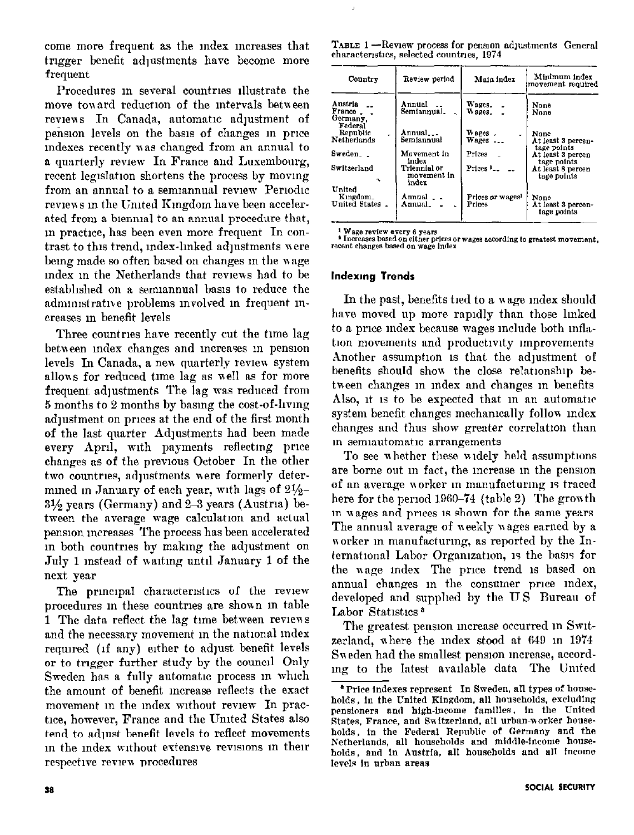come more frequent as the Index mcreases that trigger benefit adjustments have become more frequent

Procedures in several countries illustrate the move toward reduction of the intervals between reviews In Canada, automatic adjustment of pension levels on the basis of changes in price indexes recently was changed from an annual to a quarterly review In France and Luxembourg, recent legislation shortens the process by moving from an annual to a semiannual review Periodic reviews in the United Kingdom have been accelerated from a biennial to an annual procedure that, m practice, has been even more frequent In contrast to this trend, mdex-lmked adjustments nere being made so often based on changes in the wage index in the Netherlands that reviews had to be established on a semiannual basis to reduce the administrative problems involved in frequent increases m benefit levels

Three countries have recently cut the time lag between index changes and increases in pension levels In Canada, a new quarterly review system allons for reduced tune lag ns well ns for more frequent adjustments The lag was reduced from 5 months to 2 months by bnsmg the cost-of-lwmg adjustment on prices at the end of the first month. of the last quarter Adjustments had been made every April, with payments reflecting price changes as of the previous October In the other two countries, adjustments were formerly determmed in January of each year, with lags of  $2\frac{1}{2}$ - $3\frac{1}{2}$  years (Germany) and 2-3 years (Austria) between the average wage calculation and actual pension mcrenses The process has been accelerated in both countries by making the adjustment on July 1 instead of waiting until January 1 of the next year

The principal characteristics of the review procedures in these countries are shown in table 1 The data reflect the lag time between reviews and the necessary movement in the national index required (if any) either to adjust benefit levels or to trigger further study by the council Only Sweden has a fully automatic process in which the amount of benefit increase reflects the exact movement in the index without review In practice, however, France and the United States also tend to adjust benefit levels to reflect movements in the index without extensive revisions in their respective review procedures

| TABLE 1-Review process for pension adjustments General |  |  |
|--------------------------------------------------------|--|--|
| characteristics, selected countries, 1974              |  |  |

| Country                                          | Review period                        | Main index                             | Minimum index<br>movement required              |
|--------------------------------------------------|--------------------------------------|----------------------------------------|-------------------------------------------------|
| Austria<br>France.<br>Germany,<br>Federal        | Annual<br>Semiannual.                | Wages.<br>Wages.                       | None<br>None                                    |
| Republic<br>Netherlands                          | Annual<br>Semiannual                 | Wages.<br>Wages                        | None<br>At least 3 percen-                      |
| Sweden                                           | Movement in<br>index                 | Prices                                 | tage points<br>At least 3 percen<br>tage points |
| Switzerland                                      | Triennial or<br>movement in<br>index | $Prless 1$                             | At least 8 percen<br>tage points                |
| United<br>Kingdom.<br>United States <sub>-</sub> | Annual<br>Annual.                    | Prices or wages <sup>1</sup><br>Prices | None<br>At least 3 percen-<br>tage points       |

<sup>1</sup> Wage review every 6 years<br> **\*** Increases based on either prices or wages according to greatest movement, recent changes based on wage index

#### lndexmg Trends

In the past, benefits tied to a wage index should have moved up more rapidly than those linked to a price index because wages include both inflation movements and productivity improvements Another assumption is that the adjustment of benefits should show the close relationship between changes in index and changes in benefits Also, it is to be expected that in an automatic system benefit changes mechanically follow index changes and thus show greater correlation than in semiautomatic arrangements

To see whether these widely held assumptions are borne out m fact, the mcrease m the pension of nn average norker m manufacturmg 15 traced here for the period  $1960-74$  (table 2) The growth in wages and prices is shown for the same years The annual average of weekly wages earned by a worker in manufacturing, as reported by the International Labor Organization, is the basis for the wage index The price trend is based on annual changes in the consumer price index, developed nnd supphed by the US Bureau of Labor Statistics<sup>3</sup>

The greatest pension mcrease occurred m Swltzerland, ahere the Index stood at 649 in 1974 Sweden had the smallest pension increase, according to the latest available data The United

<sup>&</sup>lt;sup>8</sup> Price indexes represent In Sweden, all types of households, in the United Kingdom, all households, excluding pensioners and high-income families, in the United States. France, and Switzerland. all urban-worker households, in the Federal Republic of Germany and the Netherlands, all households and middle-income households, and in Austria, all households and all income levels in urban areas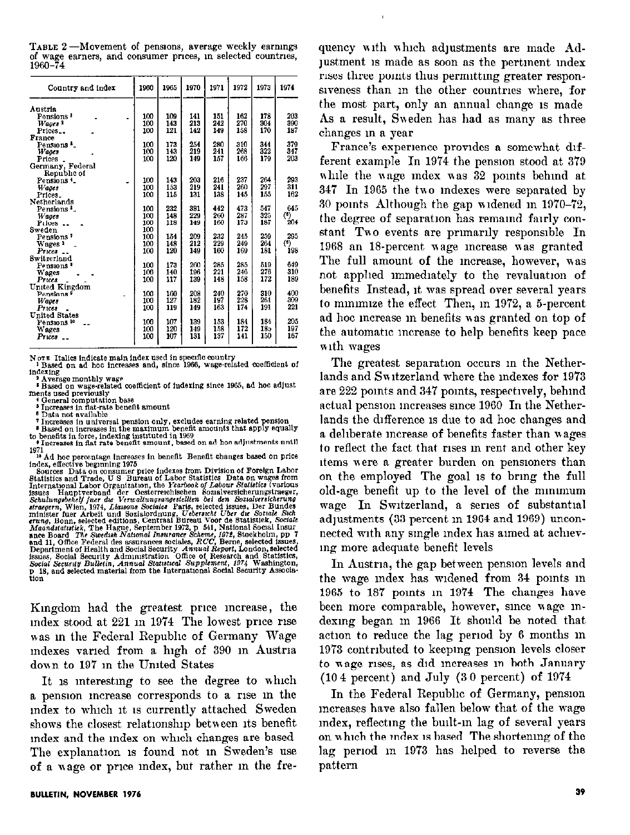| Country and index      | 1960 | 1965 | 1970 | 1971 | 1972 | 1973 | 1974         |
|------------------------|------|------|------|------|------|------|--------------|
| Austria                |      |      |      |      |      |      |              |
| Pensions <sup>1</sup>  | 100  | 109  | 141  | 151  | 162  | 178  | 203          |
| Wascs <sup>3</sup>     | 100  | 143  | 213  | 242  | 270  | 304  | 390          |
| Prices                 | 100  | 121  | 142  | 149  | 158  | 170  | 187          |
| France                 |      |      |      |      |      |      |              |
| Pensions <sup>1</sup>  | 100  | 173  | 254  | 280  | 310  | 344  | 379          |
| Wages                  | 100  | 143  | 219  | 241  | 268  | 322  | 347          |
| <b>Prices</b>          | 100  | 120  | 149  | 157  | 166  | 179  | 203          |
| Germany, Federal       |      |      |      |      |      |      |              |
| Republic of            |      |      |      |      |      |      |              |
| Pensions <sup>4</sup>  | 100  | 143  | 203  | 216  | 237  | 264  | 293          |
| Wages                  | 100  | 153  | 219  | 241  | 260  | 297  | 311          |
| Prices_                | 100  | 115  | 131  | 138  | 145  | 155  | 162          |
| Netherlands            |      |      |      |      |      |      |              |
| Pensions <sup>3</sup>  | 100  | 232  | 381  | 442  | 473  | 547  | 645          |
| Wages                  | 100  | 148  | 229  | 260  | 287  | 325  | $\bf ^{(6)}$ |
| Prices                 | 100  | 118  | 149  | 160  | 173  | 187  | 204          |
| Sweden                 | 100  |      |      |      |      |      |              |
| Pensions <sup>7</sup>  | 100  | 154  | 209  | 232  | 245  | 259  | 295          |
| Wages "                | 100  | 148  | 212  | 229  | 249  | 264  | $\bf ^{(0)}$ |
| Prices                 | 100  | 120  | 149  | 160  | 169  | 181  | 198          |
| Switzerland            |      |      |      |      |      |      |              |
| Pensions *             | 100  | 173  | 260  | 285  | 285  | 519  | 649          |
| <b>Wages</b>           | 100  | 140  | 196  | 221  | 246  | 276  | 310          |
| Prices                 | 100  | 117  | 139  | 148  | 158  | 172  | 189          |
| United Kingdom         |      |      |      |      |      |      |              |
| Pensions <sup>9</sup>  | 100  | 160  | 208  | 240  | 270  | 310  | 400          |
| Wages                  | 100  | 127  | 182  | 197  | 228  | 261  | 309          |
| $P$ rices              | 100  | 119  | 149  | 163  | 174  | 191  | 221          |
| United States          |      |      |      |      |      |      |              |
| Pensions <sup>10</sup> | 100  | 107  | 139  | 153  | 184  | 184  | 205          |
| <b>Wages</b>           | 100  | 120  | 149  | 158  | 172  | 185  | 197          |
| $Prics =$              | 100  | 107  | 131  | 137  | 141  | 150  | 167          |
|                        |      |      |      |      |      |      |              |

TABLE 2-Movement of pensions, average weekly earnings of wage earners, and consumer prices, in selected countries,  $1960 - 74$ 

NOTE Italics indicate main index used in specific country<br><sup>1</sup> Based on ad hoc increases and, since 1966, wage-related coefficient of indexing ......<br>Average monthly wage

<sup>2</sup> Average monthly wage<br>  $\frac{1}{2}$  Based on wage-related coefficient of indexing since 1965, ad hoc adjust<br>
ments used previously<br>  $\frac{1}{2}$ <br>  $\frac{1}{2}$ <br>  $\frac{1}{2}$ <br>  $\frac{1}{2}$ <br>  $\frac{1}{2}$ <br>  $\frac{1}{2}$ <br>  $\frac{1}{2}$ <br>  $\frac{1}{2}$ <br>

Data not available

<sup>9</sup> Data not available<br>Threases in universal pension only, excludes earning related pension<br>
<sup>8</sup> Hased on increases in the maximum benefit amounts that apply equally<br>
to benefit sin force, indexing instituted in 1969<br>
<sup>2</sup>

to beneuts in force, indeting instituted in 1509<br>
Increases in flat rate benefit smount, based on ad hoc adjustments until<br>
1971<br>
<sup>19</sup> Increases in flat rate benefit smount, based on ad hoc adjustments until<br>
1971<br>
<sup>20</sup> Ad

Kingdom had the greatest price increase, the  $index$  stood at  $221$  in  $1974$  The lowest price rise mas m the Federal Repubhc of Germany Wage mdexes varied from a high of 390 in Austria down to 197 in the United States

It is interesting to see the degree to which a pension increase corresponds to a rise in the rndex to which It 1s currently attached Sweden shows the closest relationship between its benefit Index and the Index on which changes we based The explanation is found not in Sweden's use of a wage or price index, but rather in the frequency with which adjustments are made Adjustment is made as soon as the pertinent index rises three pomts thus permlttmg greater responsiveness than in the other countries where, for the most part, only an annual change 1s made As a result, Sweden has had as many as three changes m a year

France's experience provides a somewhat different example In 1974 the pension stood at 379 while the wage index was 32 points behind at 347 In 1965 the tno Indexes were separated by 30 pants Although the gap uldened m 1970-72, the degree of separation has remaind fairly constant  $Two$  events are primarily responsible In 1968 an 18-percent wage increase was granted The full amount of the mcrease, however, was not applied immediately to the revaluation of benefits Instead, It was spread over several years to mmmnze the effect Then, m 1972, a 5-percent ad hoc increase in benefits was granted on top of the automatic increase to help benefits keep pace with wages

The greatest separation occurs in the Netherlands and Switzerland where the indexes for 1973 are 222 points and 347 points, respectively, behind actual pension increases since 1960 In the Netherlands the difference is due to ad hoc changes and a deliberate increase of benefits faster than wages to reflect the fact that rises in rent and other key items were a greater burden on pensioners than on the employed The goal 1s to brmg the full old-age benefit up to the level of the mnumum wage In Switzerland, a series of substantial adjustments (33 percent m 1964 and 1969) unconnected with any single index has aimed at achieving more adequate benefit levels

In Austria, the gap between pension levels and the wage mdex has wIdened from 34 pants m 1965 to 187 pants in 1974 The changes have been more comparable, however, smce nage mdexmg began m 1966 It should be noted that action to reduce the lag period by 6 months in 1973 contnbuted to keepmg penslon levels closer to wage rises, as did increases in both January (10 4 percent) and July (3 0 percent) of 1974

In the Federal Repubhc of Germany, ponslon mcreases have also fallen below that of the wage index, reflecting the built-in lag of several years on which the index is based The shortening of the lag period in 1973 has helped to reverse the pattern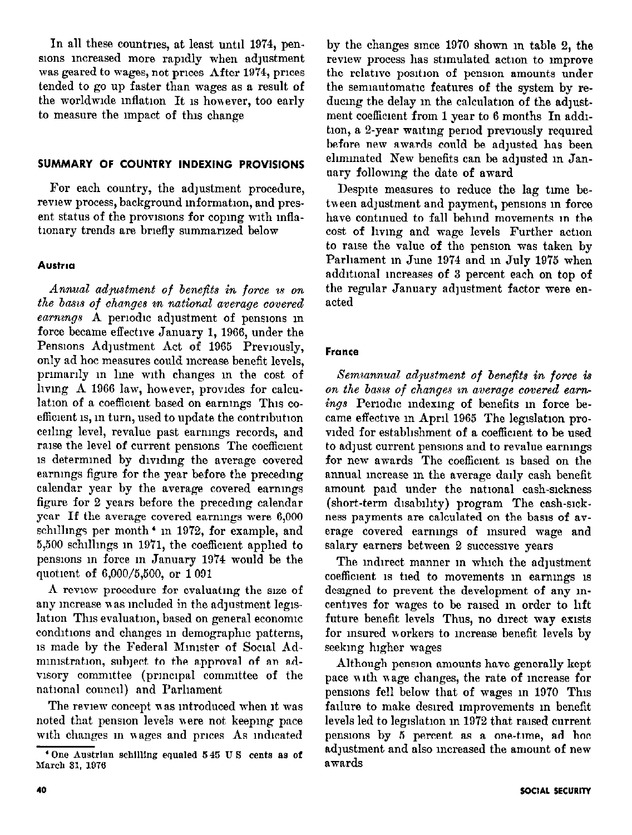In all these countries, at least until 1974, penslons mcreased more rapldly when adjustment was geared to wages, not prices After 1974, prices tended to go up faster than wages as a result of the worldwide inflation It is however, too early to measure the Impact of this change

#### SUMMARY OF COUNTRY INDEXING PROVISIONS

For each country, the adjustment procedure, review process, background information, and present status of the provisions for coping with inflationary trends are briefly summarized below

#### Austria

Annual adpustment of benefits in force is on the basis of changes in national average covered  $\emph{earnings}$  A periodic adjustment of pensions in force became effectwe January 1, 1966, under the Pensions Adjustment Act of 1965 Previously, only ad hoc measures could mcrease benefit levels, primarily in line with changes in the cost of hvmg A 1966 law, however, provides for calculation of a coefficient based on earnings This coefficient is, in turn, used to update the contribution ceiling level, revalue past earnings records, and raise the level of current pensions The coefficient 1s determmed by dwldmg the average covered earnmgs figure for the year before the precedmg calendar year by the average covered earnings figure for 2 years before the preceding calendar year If the average covered earnings were 6,000 schillings per month<sup>\*</sup> in 1972, for example, and 5,500 schlllmgs m 1971, the coefficient apphed to pensions m force m January 1974 would be the quotient of 6,000/5,500, or 1091

A review procedure for evaluating the size of any increase was included in the adjustment legislation This evaluation, based on general economic conditions and changes in demographic patterns, 1s made by the Federal Minister of Social Administration, subject to the approval of an advisory committee (principal committee of the national council) and Parliament

The review concept was introduced when it was noted that pension levels were not keeping pace with changes in wages and prices As indicated by the changes smce 1970 shown m table 2, the review process has stimulated action to improve the relative position of pension amounts under the semiautomatic features of the system by reducing the delay in the calculation of the adjustment coefficient from 1 year to 6 months In addition, a 2-year waiting period previously required before new awards could be adjusted has been eliminated New benefits can be adjusted in January followmg the date of award

Despite measures to reduce the lag time between adjustment and payment, pensions in force have contmued to fall behmd movements m the cost of hying and wage levels Further action to raise the value of the pension was taken by Parliament in June 1974 and in July 1975 when additional increases of 3 percent each on top of the regular January adjustment factor were enacted

# **France**

Semiannual adjustment of benefits in force is on the basis of changes in average covered earnings Periodic indexing of benefits in force became effective in April 1965 The legislation provided for establishment of a coefficient to be used to adjust current pensions and to revalue earnings for new awards The coefficient 1s based on the annunl mcrease m the average dally cash benefit amount paid under the national cash-sickness (short-term dlsnblhty) program The cash-sickness payments are calculated on the basis of average covered earnings of insured wage and salary earners between 2 successive years

The indirect manner in which the adjustment coefficient 1s tied to movements m earnmgs 1s designed to prevent the development of any incentwes for wages to be raised m order to hft future benefit levels Thus, no direct way exists for msured workers to increase benefit levels by seekmg higher wages

Although pension amounts have generally kept pace with wage changes, the rate of increase for pensions fell below that of wages m 1970 This failure to make desired improvements in benefit levels led to legislation in 1972 that raised current penaons by 5 percent as a one-tune, ad hoc adjustment and also increased the amount of new awards

 $^4$ One Austrian schilling equaled  $545$  U S cents as of March 31, 1976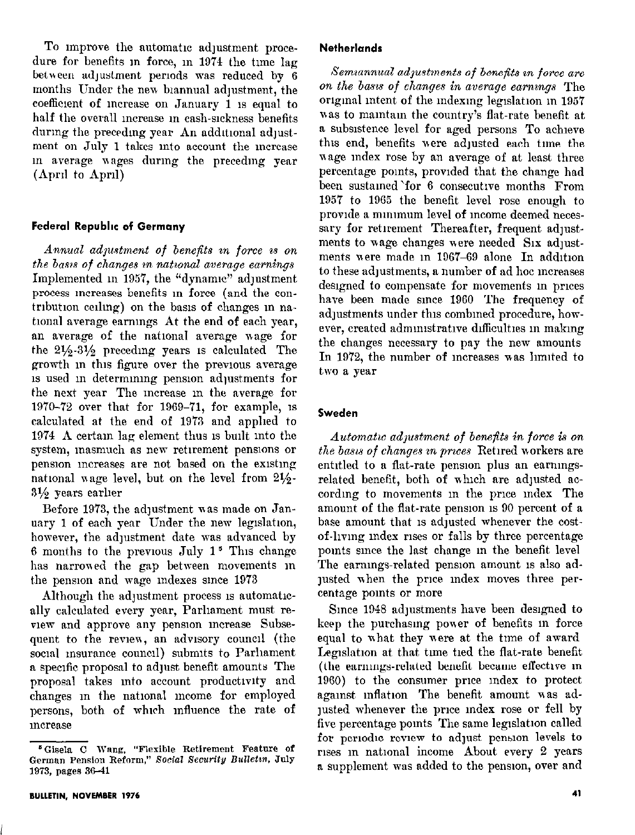To improve the automatic adjustment procedure for benefits in force, in 1974 the time lag between adjustment periods was reduced by 6 months Under the new biannual adjustment, the coefficient of increase on January 1 is equal to half the overall increase in cash-sickness benefits during the preceding year An additional adjustment on July 1 takes into account the increase in average wages during the preceding year  $(\text{April} to April)$ 

#### Federal Republic of Germany

Annual adjustment of benefits in force is on the basis of changes in national average earnings Implemented in 1957, the "dynamic" adjustment process mcreases benefits in force (and the contribution ceiling) on the basis of changes in national average earnings At the end of each year, an average of the natlonal average wage for the  $2\frac{1}{2}\cdot3\frac{1}{2}$  preceding years is calculated The growth in this figure over the previous average 1s used in determining pension adjustments for the next year The mcrense m the nverage for 1970-72 over that for 1969-71, for example, IS calculated at the end of 1973 and apphed to 1974  $\Lambda$  certain lag element thus is built into the system, masmuch as new retirement pensions or pension increases are not based on the existing national wage level, but on the level from  $21/2$ - $3\frac{1}{2}$  years earlier

Before 1973, the adjustment was made on January 1 of each year Under the new legislation, however, the adjustment date was advanced by 6 months to the previous July  $1^5$  This change has narrowed the gap between movements in the pension and wage indexes since 1973

Although the adjustment process is automatically calculated every year, Parliament must review and approve any pension increase Subsequent to the review, an advisory council (the social insurance council) submits to Parliament a specific proposal to adjust benefit amounts The proposal takes into account productivity and changes in the national income for employed persons, both of which influence the rate of *ncrease* 

#### **Netherlands**

Semiannual adjustments of benefits in force are on the basis of changes in average earnings The original intent of the indexing legislation in 1957 was to maintain the country's flat-rate benefit at a subslstence level for aged persons To achieve thus end, benefits vere adjusted each time the nage mdex rose by an average of at least three percentage points, provided that the change had been sustamed'for 6 consecutwe months From  $1957$  to  $1965$  the benefit level rose enough to provide a minimum level of income deemed necessary for retirement Thereafter, frequent adjustments to wage changes were needed Six adjustments were made in 1967-69 alone In addition to these adjustments, a number of ad hoc increases designed to compensate for movements m prices have been made smce 1960 The frequency of adjustments under this combined procedure, however, created administrative difficulties in making the changes necessary to pay the new amounts In 1972, the number of increases was limited to two a year

### Sweden

Automatic adpustment of benefits in force is on the basis of changes in prices Retired workers are entitled to a flat-rate pension plus an earningsrelated benefit, both of which are adjusted according to movements in the price index The amount of the flat-rate pension is 90 percent of a base amount that is adjusted whenever the costof-lwmg mdex rises or falls by three percentage pomts smce the last change m the benefit level The earnmgs-related pension amount 1s also adjusted when the price index moves three percentage points or more

Since 1948 adjustments have been designed to keep the purchasmg power of benefits m force equal to nhat they were at the time of award Legislation at that time tied the flat-rate benefit (the earnings-related benefit became effective in 1960) to the consumer pnce mdex to protect against inflation The benefit amount was adjusted whenever the price index rose or fell by five percentage points The same legislation called for periodic review to adjust pension levels to rises in national income About every 2 years a supplement was added to the penslon, over and

<sup>&</sup>lt;sup>5</sup> Gisela C Wang, "Flexible Retirement Feature of German Pension Reform," Social Security Bulletin, July 1973, pages 36-41